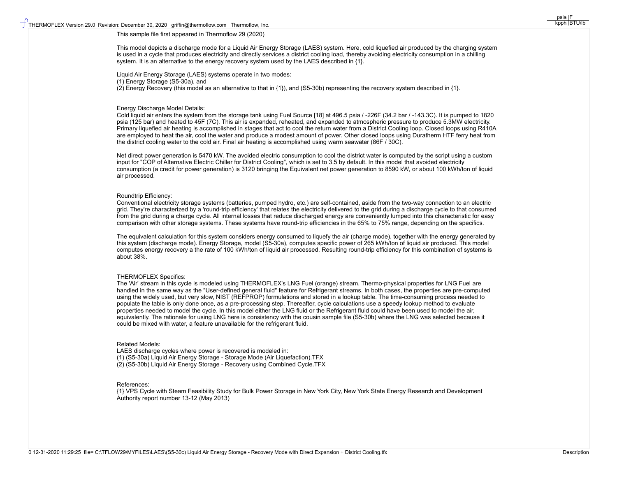## This sample file first appeared in Thermoflow 29 (2020)

This model depicts a discharge mode for a Liquid Air Energy Storage (LAES) system. Here, cold liquefied air produced by the charging system is used in a cycle that produces electricity and directly services a district cooling load, thereby avoiding electricity consumption in a chilling system. It is an alternative to the energy recovery system used by the LAES described in  $\{1\}$ .

Liquid Air Energy Storage (LAES) systems operate in two modes: (1) Energy Storage (S5-30a), and (2) Energy Recovery (this model as an alternative to that in {1}), and (S5-30b) representing the recovery system described in {1}.

## Energy Discharge Model Details:

Cold liquid air enters the system from the storage tank using Fuel Source [18] at 496.5 psia / -226F (34.2 bar / -143.3C). It is pumped to 1820 psia (125 bar) and heated to 45F (7C). This air is expanded, reheated, and expanded to atmospheric pressure to produce 5.3MW electricity. Primary liquefied air heating is accomplished in stages that act to cool the return water from a District Cooling loop. Closed loops using R410A are employed to heat the air, cool the water and produce a modest amount of power. Other closed loops using Duratherm HTF ferry heat from the district cooling water to the cold air. Final air heating is accomplished using warm seawater (86F / 30C).

Net direct power generation is 5470 kW. The avoided electric consumption to cool the district water is computed by the script using a custom input for "COP of Alternative Electric Chiller for District Cooling", which is set to 3.5 by default. In this model that avoided electricity consumption (a credit for power generation) is 3120 bringing the Equivalent net power generation to 8590 kW, or about 100 kWh/ton of liquid air processed.

#### Roundtrip Efficiency:

Conventional electricity storage systems (batteries, pumped hydro, etc.) are self-contained, aside from the two-way connection to an electric grid. They're characterized by a 'round-trip efficiency' that relates the electricity delivered to the grid during a discharge cycle to that consumed from the grid during a charge cycle. All internal losses that reduce discharged energy are conveniently lumped into this characteristic for easy comparison with other storage systems. These systems have round-trip efficiencies in the 65% to 75% range, depending on the specifics.

The equivalent calculation for this system considers energy consumed to liquefy the air (charge mode), together with the energy generated by this system (discharge mode). Energy Storage, model (S5-30a), computes specific power of 265 kWh/ton of liquid air produced. This model computes energy recovery a the rate of 100 kWh/ton of liquid air processed. Resulting round-trip efficiency for this combination of systems is about 38%.

## THERMOFLEX Specifics:

The 'Air' stream in this cycle is modeled using THERMOFLEX's LNG Fuel (orange) stream. Thermo-physical properties for LNG Fuel are handled in the same way as the "User-defined general fluid" feature for Refrigerant streams. In both cases, the properties are pre-computed using the widely used, but very slow, NIST (REFPROP) formulations and stored in a lookup table. The time-consuming process needed to populate the table is only done once, as a pre-processing step. Thereafter, cycle calculations use a speedy lookup method to evaluate properties needed to model the cycle. In this model either the LNG fluid or the Refrigerant fluid could have been used to model the air, equivalently. The rationale for using LNG here is consistency with the cousin sample file (S5-30b) where the LNG was selected because it could be mixed with water, a feature unavailable for the refrigerant fluid.

#### Related Models:

LAES discharge cycles where power is recovered is modeled in: (1) (S5-30a) Liquid Air Energy Storage - Storage Mode (Air Liquefaction).TFX (2) (S5-30b) Liquid Air Energy Storage - Recovery using Combined Cycle.TFX

### References:

{1} VPS Cycle with Steam Feasibility Study for Bulk Power Storage in New York City, New York State Energy Research and Development Authority report number 13-12 (May 2013)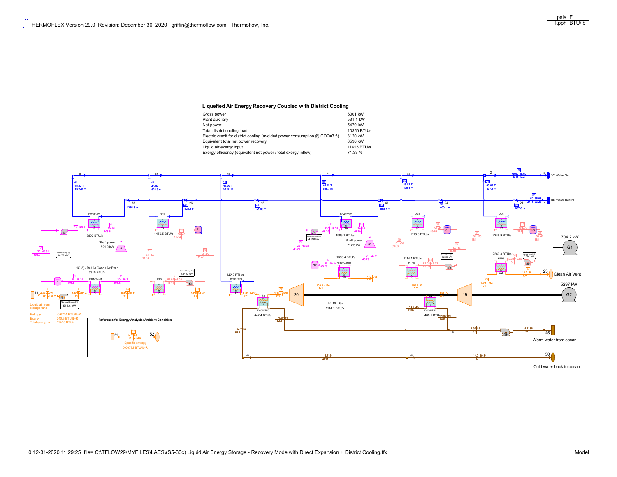# **Liquefied Air Energy Recovery Coupled with District Cooling**

| Gross power                                                                  | 6001 kW     |
|------------------------------------------------------------------------------|-------------|
| Plant auxiliary                                                              | 531.1 kW    |
| Net power                                                                    | 5470 kW     |
| Total district cooling load                                                  | 10350 BTU/s |
| Electric credit for district cooling (avoided power consumption $@$ COP=3.5) | 3120 kW     |
| Equivalent total net power recovery                                          | 8590 kW     |
| Liquid air exergy input                                                      | 11415 BTU/s |
| Exergy efficiency (equivalent net power / total exergy inflow)               | 71.33 %     |
|                                                                              |             |